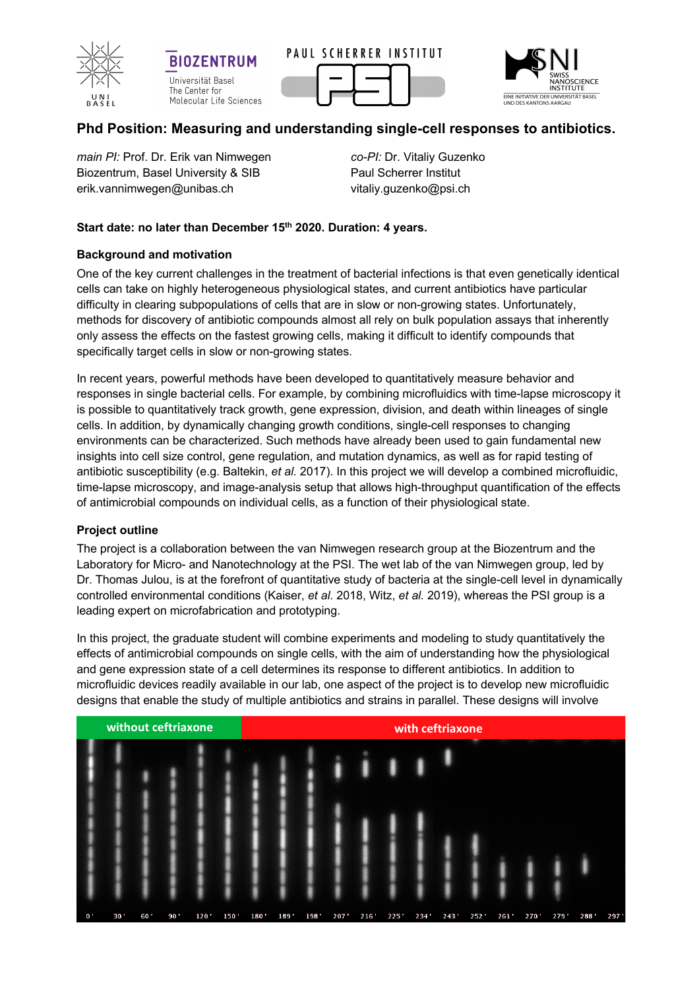

**BIOZENTRUM** Universität Basel The Center for Molecular Life Sciences





# **Phd Position: Measuring and understanding single-cell responses to antibiotics.**

*main PI:* Prof. Dr. Erik van Nimwegen Biozentrum, Basel University & SIB erik.vannimwegen@unibas.ch

*co-PI:* Dr. Vitaliy Guzenko Paul Scherrer Institut vitaliy.guzenko@psi.ch

# **Start date: no later than December 15th 2020. Duration: 4 years.**

## **Background and motivation**

One of the key current challenges in the treatment of bacterial infections is that even genetically identical cells can take on highly heterogeneous physiological states, and current antibiotics have particular difficulty in clearing subpopulations of cells that are in slow or non-growing states. Unfortunately, methods for discovery of antibiotic compounds almost all rely on bulk population assays that inherently only assess the effects on the fastest growing cells, making it difficult to identify compounds that specifically target cells in slow or non-growing states.

In recent years, powerful methods have been developed to quantitatively measure behavior and responses in single bacterial cells. For example, by combining microfluidics with time-lapse microscopy it is possible to quantitatively track growth, gene expression, division, and death within lineages of single cells. In addition, by dynamically changing growth conditions, single-cell responses to changing environments can be characterized. Such methods have already been used to gain fundamental new insights into cell size control, gene regulation, and mutation dynamics, as well as for rapid testing of antibiotic susceptibility (e.g. Baltekin, *et al.* 2017). In this project we will develop a combined microfluidic, time-lapse microscopy, and image-analysis setup that allows high-throughput quantification of the effects of antimicrobial compounds on individual cells, as a function of their physiological state.

#### **Project outline**

The project is a collaboration between the van Nimwegen research group at the Biozentrum and the Laboratory for Micro- and Nanotechnology at the PSI. The wet lab of the van Nimwegen group, led by Dr. Thomas Julou, is at the forefront of quantitative study of bacteria at the single-cell level in dynamically controlled environmental conditions (Kaiser, *et al.* 2018, Witz, *et al.* 2019), whereas the PSI group is a leading expert on microfabrication and prototyping.

In this project, the graduate student will combine experiments and modeling to study quantitatively the effects of antimicrobial compounds on single cells, with the aim of understanding how the physiological and gene expression state of a cell determines its response to different antibiotics. In addition to microfluidic devices readily available in our lab, one aspect of the project is to develop new microfluidic designs that enable the study of multiple antibiotics and strains in parallel. These designs will involve